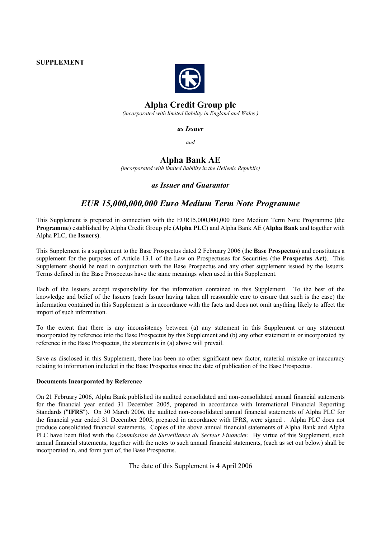### **SUPPLEMENT**



# **Alpha Credit Group plc**

*(incorporated with limited liability in England and Wales )*

*as Issuer*

*and*

# **Alpha Bank AE**

*(incorporated with limited liability in the Hellenic Republic)*

# *as Issuer and Guarantor*

# *EUR 15,000,000,000 Euro Medium Term Note Programme*

This Supplement is prepared in connection with the EUR15,000,000,000 Euro Medium Term Note Programme (the **Programme**) established by Alpha Credit Group plc (**Alpha PLC**) and Alpha Bank AE (**Alpha Bank** and together with Alpha PLC, the **Issuers**).

This Supplement is a supplement to the Base Prospectus dated 2 February 2006 (the **Base Prospectus**) and constitutes a supplement for the purposes of Article 13.1 of the Law on Prospectuses for Securities (the **Prospectus Act**). This Supplement should be read in conjunction with the Base Prospectus and any other supplement issued by the Issuers. Terms defined in the Base Prospectus have the same meanings when used in this Supplement.

Each of the Issuers accept responsibility for the information contained in this Supplement. To the best of the knowledge and belief of the Issuers (each Issuer having taken all reasonable care to ensure that such is the case) the information contained in this Supplement is in accordance with the facts and does not omit anything likely to affect the import of such information.

To the extent that there is any inconsistency between (a) any statement in this Supplement or any statement incorporated by reference into the Base Prospectus by this Supplement and (b) any other statement in or incorporated by reference in the Base Prospectus, the statements in (a) above will prevail.

Save as disclosed in this Supplement, there has been no other significant new factor, material mistake or inaccuracy relating to information included in the Base Prospectus since the date of publication of the Base Prospectus.

#### **Documents Incorporated by Reference**

On 21 February 2006, Alpha Bank published its audited consolidated and non-consolidated annual financial statements for the financial year ended 31 December 2005, prepared in accordance with International Financial Reporting Standards ("**IFRS**"). On 30 March 2006, the audited non-consolidated annual financial statements of Alpha PLC for the financial year ended 31 December 2005, prepared in accordance with IFRS, were signed . Alpha PLC does not produce consolidated financial statements. Copies of the above annual financial statements of Alpha Bank and Alpha PLC have been filed with the *Commission de Surveillance du Secteur Financier.* By virtue of this Supplement, such annual financial statements, together with the notes to such annual financial statements, (each as set out below) shall be incorporated in, and form part of, the Base Prospectus.

The date of this Supplement is 4 April 2006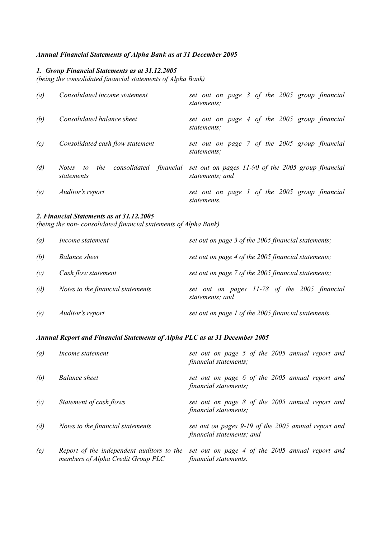## *Annual Financial Statements of Alpha Bank as at 31 December 2005*

## *1. Group Financial Statements as at 31.12.2005*

*(being the consolidated financial statements of Alpha Bank)*

| (a) | Consolidated income statement                                           | set out on page 3 of the 2005 group financial<br>statements:          |
|-----|-------------------------------------------------------------------------|-----------------------------------------------------------------------|
| (b) | Consolidated balance sheet                                              | set out on page 4 of the 2005 group financial<br>statements:          |
| (c) | Consolidated cash flow statement                                        | set out on page 7 of the 2005 group financial<br>statements:          |
| (d) | consolidated financial<br>the<br><i>Notes</i><br>$\omega$<br>statements | set out on pages 11-90 of the 2005 group financial<br>statements; and |
| (e) | Auditor's report                                                        | set out on page 1 of the 2005 group financial<br>statements.          |

### *2. Financial Statements as at 31.12.2005*

*(being the non- consolidated financial statements of Alpha Bank)*

| (a) | Income statement                  | set out on page 3 of the 2005 financial statements;             |
|-----|-----------------------------------|-----------------------------------------------------------------|
| (b) | <b>Balance sheet</b>              | set out on page 4 of the 2005 financial statements;             |
| (c) | Cash flow statement               | set out on page 7 of the 2005 financial statements;             |
| (d) | Notes to the financial statements | set out on pages 11-78 of the 2005 financial<br>statements; and |
| (e) | Auditor's report                  | set out on page 1 of the 2005 financial statements.             |

## *Annual Report and Financial Statements of Alpha PLC as at 31 December 2005*

| (a) | Income statement                                                               | set out on page 5 of the 2005 annual report and<br>financial statements;         |
|-----|--------------------------------------------------------------------------------|----------------------------------------------------------------------------------|
| (b) | <b>Balance sheet</b>                                                           | set out on page 6 of the 2005 annual report and<br>financial statements;         |
| (c) | Statement of cash flows                                                        | set out on page 8 of the 2005 annual report and<br>financial statements;         |
| (d) | Notes to the financial statements                                              | set out on pages 9-19 of the 2005 annual report and<br>financial statements; and |
| (e) | Report of the independent auditors to the<br>members of Alpha Credit Group PLC | set out on page 4 of the 2005 annual report and<br>financial statements.         |